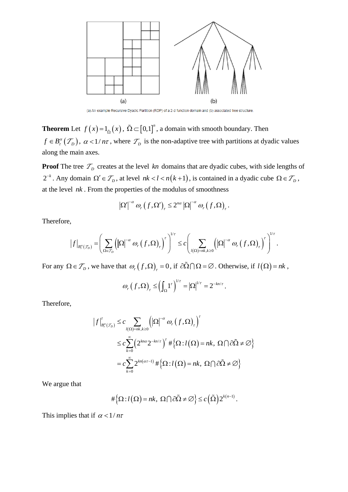

(a) An example Recursive Dyadic Partition (RDP) of a 2-d function domain and (b) associated tree structure.

**Theorem** Let  $f(x) = 1_{\tilde{\Omega}}(x)$ ,  $\tilde{\Omega} \subset [0,1]^n$ , a domain with smooth boundary. Then  $f \in B_r^{\alpha}(\mathcal{T}_D)$ ,  $\alpha < 1/n\tau$ , where  $\mathcal{T}_D$  is the non-adaptive tree with partitions at dyadic values along the main axes.

**Proof** The tree  $\mathcal{T}_D$  creates at the level kn domains that are dyadic cubes, with side lengths of  $2^{-k}$ . Any domain  $\Omega' \in \mathcal{T}_D$ , at level  $nk < l < n(k+1)$ , is contained in a dyadic cube  $\Omega \in \mathcal{T}_D$ , at the level *nk* . From the properties of the modulus of smoothness

$$
\left|\Omega'\right|^{-\alpha} \omega_r\left(f,\Omega'\right)_r \leq 2^{n\alpha} \left|\Omega\right|^{-\alpha} \omega_r\left(f,\Omega\right)_r.
$$

Therefore,

$$
|\Omega| \quad \omega_r(f, \Omega)_r \leq 2^m |\Omega| \quad \omega_r(f, \Omega)_r.
$$
  

$$
|f|_{B_r^{\alpha}(\mathcal{T}_D)} = \left(\sum_{\Omega \in \mathcal{T}_D} \left(|\Omega|^{-\alpha} \omega_r(f, \Omega)_r\right)^r\right)^{1/\tau} \leq c \left(\sum_{l(\Omega) = nk, k \geq 0} \left(|\Omega|^{-\alpha} \omega_r(f, \Omega)_r\right)^r\right)^{1/\tau}.
$$

For any  $\Omega \in \mathcal{T}_D$ , we have that  $\omega_r(f, \Omega)_r = 0$ , if  $\partial \Omega \cap \Omega = \emptyset$ . Otherwise, if  $l(\Omega) = nk$ ,

$$
\omega_r(f,\Omega)_r \leq \left(\int_{\Omega} 1^r\right)^{1/r} = \left|\Omega\right|^{1/r} = 2^{-kn/r}.
$$

Therefore,

$$
\left|f\right|_{B_r^{\alpha}(\mathcal{T}_D)}^{\tau} \leq c \sum_{l(\Omega)=nk,k\geq 0} \left(\left|\Omega\right|^{-\alpha} \omega_r(f,\Omega)_t\right)^{\tau}
$$
  

$$
\leq c \sum_{k=0}^{\infty} \left(2^{kn\alpha} 2^{-kn/\tau}\right)^{\tau} \#\left\{\Omega : l(\Omega) = nk, \Omega \cap \partial\tilde{\Omega} \neq \emptyset\right\}
$$
  

$$
= c \sum_{k=0}^{\infty} 2^{kn(\alpha\tau-1)} \#\left\{\Omega : l(\Omega) = nk, \Omega \cap \partial\tilde{\Omega} \neq \emptyset\right\}
$$

We argue that

$$
\#\Big\{\Omega: l\big(\Omega\big)=nk,\ \Omega\bigcap\partial\tilde{\Omega}\neq\varnothing\Big\}\leq c\Big(\tilde{\Omega}\Big)2^{k(n-1)}.
$$

This implies that if  $\alpha < 1/n\tau$